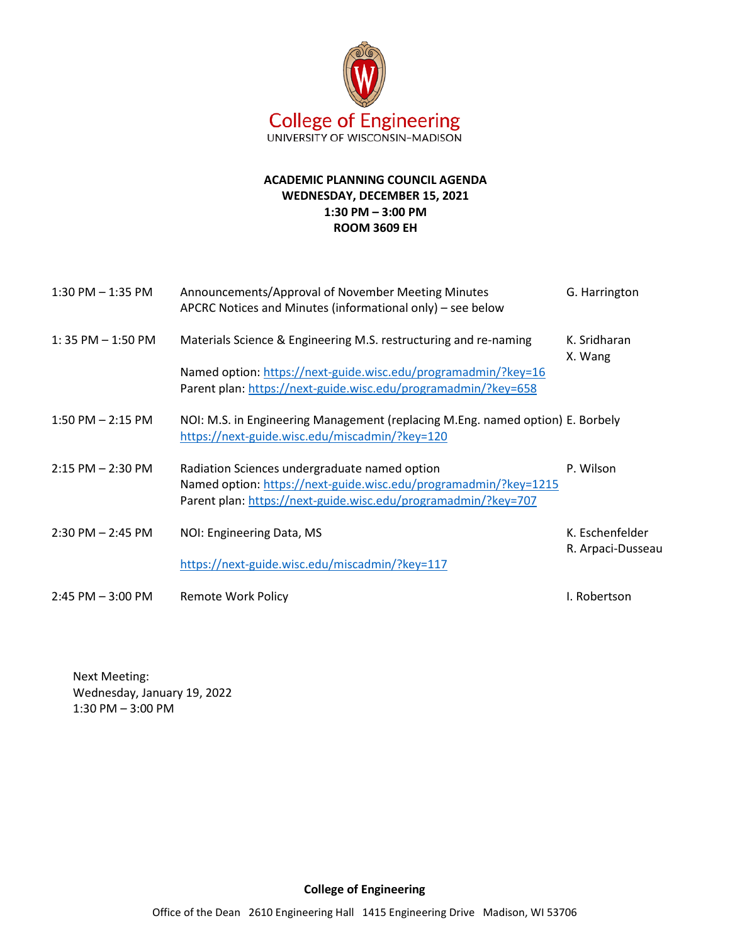

## **ACADEMIC PLANNING COUNCIL AGENDA WEDNESDAY, DECEMBER 15, 2021 1:30 PM – 3:00 PM ROOM 3609 EH**

| $1:30$ PM $-1:35$ PM  | Announcements/Approval of November Meeting Minutes<br>APCRC Notices and Minutes (informational only) - see below                                                                    | G. Harrington                        |
|-----------------------|-------------------------------------------------------------------------------------------------------------------------------------------------------------------------------------|--------------------------------------|
| $1:35$ PM $-1:50$ PM  | Materials Science & Engineering M.S. restructuring and re-naming<br>Named option: https://next-guide.wisc.edu/programadmin/?key=16                                                  | K. Sridharan<br>X. Wang              |
|                       | Parent plan: https://next-guide.wisc.edu/programadmin/?key=658                                                                                                                      |                                      |
| $1:50$ PM $- 2:15$ PM | NOI: M.S. in Engineering Management (replacing M.Eng. named option) E. Borbely<br>https://next-guide.wisc.edu/miscadmin/?key=120                                                    |                                      |
| $2:15$ PM $- 2:30$ PM | Radiation Sciences undergraduate named option<br>Named option: https://next-guide.wisc.edu/programadmin/?key=1215<br>Parent plan: https://next-guide.wisc.edu/programadmin/?key=707 | P. Wilson                            |
| $2:30$ PM $- 2:45$ PM | NOI: Engineering Data, MS                                                                                                                                                           | K. Eschenfelder<br>R. Arpaci-Dusseau |
|                       | https://next-guide.wisc.edu/miscadmin/?key=117                                                                                                                                      |                                      |
| $2:45$ PM $-3:00$ PM  | <b>Remote Work Policy</b>                                                                                                                                                           | I. Robertson                         |

Next Meeting: Wednesday, January 19, 2022 1:30 PM – 3:00 PM

Office of the Dean 2610 Engineering Hall 1415 Engineering Drive Madison, WI 53706